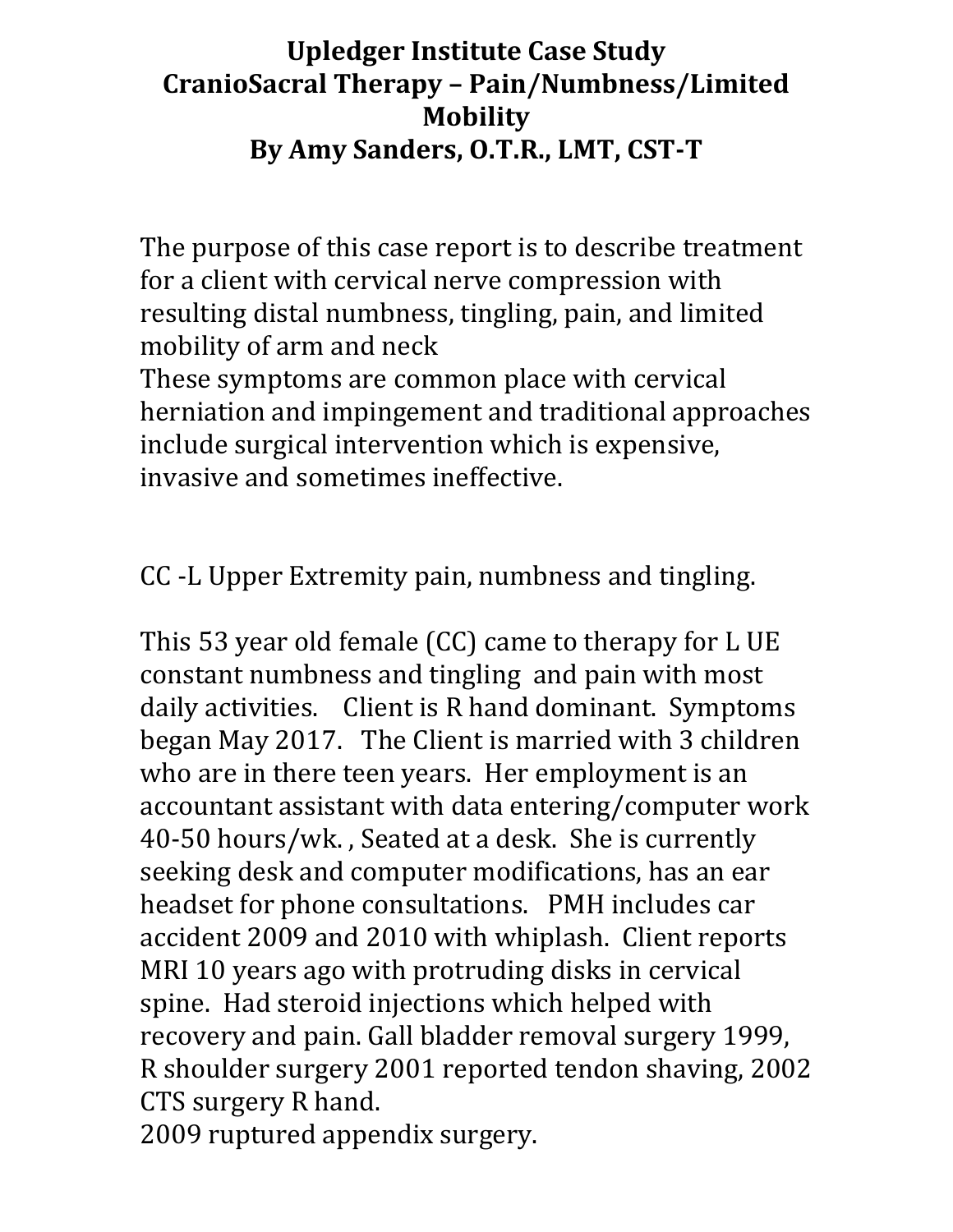### **Upledger Institute Case Study CranioSacral Therapy – Pain/Numbness/Limited Mobility By Amy Sanders, O.T.R., LMT, CST‐T**

The purpose of this case report is to describe treatment for a client with cervical nerve compression with resulting distal numbness, tingling, pain, and limited mobility of arm and neck

These symptoms are common place with cervical herniation and impingement and traditional approaches include surgical intervention which is expensive, invasive and sometimes ineffective.

CC -L Upper Extremity pain, numbness and tingling.

This 53 year old female (CC) came to therapy for L UE constant numbness and tingling and pain with most daily activities. Client is R hand dominant. Symptoms began May 2017. The Client is married with 3 children who are in there teen years. Her employment is an accountant assistant with data entering/computer work 40-50 hours/wk. , Seated at a desk. She is currently seeking desk and computer modifications, has an ear headset for phone consultations. PMH includes car accident 2009 and 2010 with whiplash. Client reports MRI 10 years ago with protruding disks in cervical spine. Had steroid injections which helped with recovery and pain. Gall bladder removal surgery 1999, R shoulder surgery 2001 reported tendon shaving, 2002 CTS surgery R hand.

2009 ruptured appendix surgery.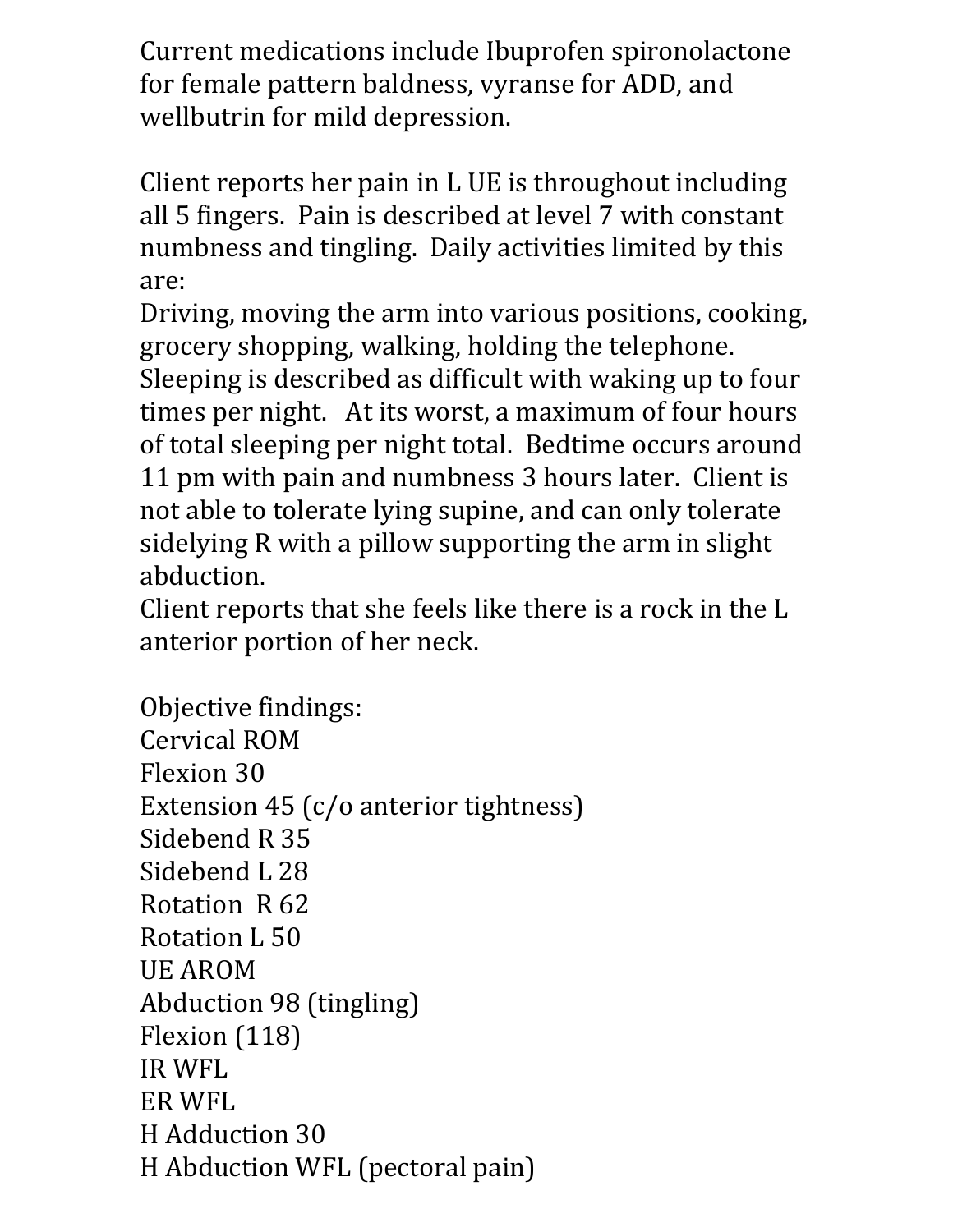Current medications include Ibuprofen spironolactone for female pattern baldness, vyranse for ADD, and wellbutrin for mild depression.

Client reports her pain in L UE is throughout including all 5 fingers. Pain is described at level 7 with constant numbness and tingling. Daily activities limited by this are:

Driving, moving the arm into various positions, cooking, grocery shopping, walking, holding the telephone.

Sleeping is described as difficult with waking up to four times per night. At its worst, a maximum of four hours of total sleeping per night total. Bedtime occurs around 11 pm with pain and numbness 3 hours later. Client is not able to tolerate lying supine, and can only tolerate sidelying R with a pillow supporting the arm in slight abduction.

Client reports that she feels like there is a rock in the L anterior portion of her neck.

Objective findings: Cervical ROM Flexion 30 Extension 45 (c/o anterior tightness) Sidebend R 35 Sidebend L 28 Rotation R 62 Rotation L 50 UE AROM Abduction 98 (tingling) Flexion (118) IR WFL ER WFL H Adduction 30 H Abduction WFL (pectoral pain)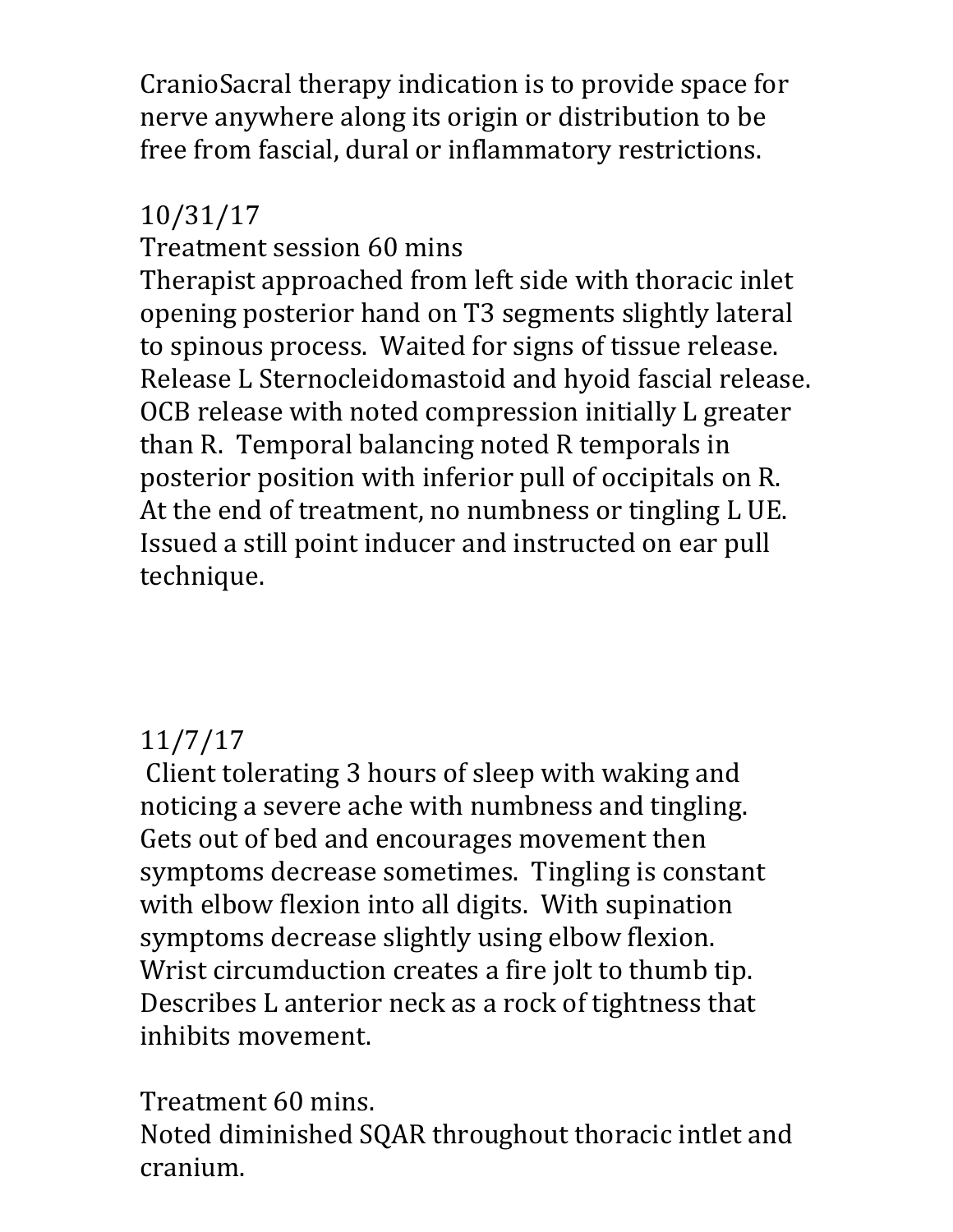CranioSacral therapy indication is to provide space for nerve anywhere along its origin or distribution to be free from fascial, dural or inflammatory restrictions.

## 10/31/17

Treatment session 60 mins

Therapist approached from left side with thoracic inlet opening posterior hand on T3 segments slightly lateral to spinous process. Waited for signs of tissue release. Release L Sternocleidomastoid and hyoid fascial release. OCB release with noted compression initially L greater than R. Temporal balancing noted R temporals in posterior position with inferior pull of occipitals on R. At the end of treatment, no numbness or tingling L UE. Issued a still point inducer and instructed on ear pull technique.

### 11/7/17

 Client tolerating 3 hours of sleep with waking and noticing a severe ache with numbness and tingling. Gets out of bed and encourages movement then symptoms decrease sometimes. Tingling is constant with elbow flexion into all digits. With supination symptoms decrease slightly using elbow flexion. Wrist circumduction creates a fire jolt to thumb tip. Describes L anterior neck as a rock of tightness that inhibits movement.

Treatment 60 mins. Noted diminished SQAR throughout thoracic intlet and cranium.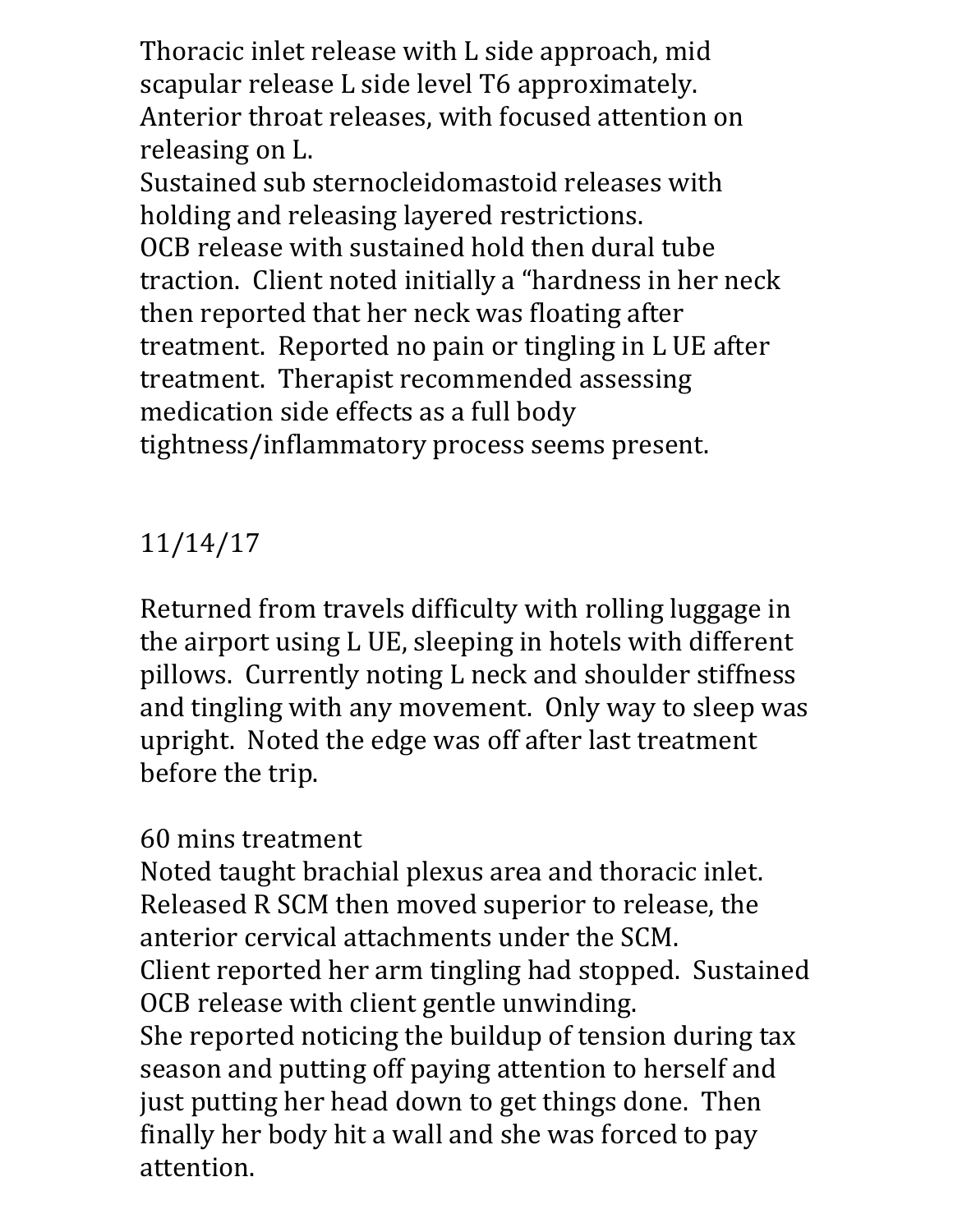Thoracic inlet release with L side approach, mid scapular release L side level T6 approximately. Anterior throat releases, with focused attention on releasing on L.

Sustained sub sternocleidomastoid releases with holding and releasing layered restrictions. OCB release with sustained hold then dural tube traction. Client noted initially a "hardness in her neck then reported that her neck was floating after treatment. Reported no pain or tingling in L UE after treatment. Therapist recommended assessing medication side effects as a full body tightness/inflammatory process seems present.

# 11/14/17

Returned from travels difficulty with rolling luggage in the airport using L UE, sleeping in hotels with different pillows. Currently noting L neck and shoulder stiffness and tingling with any movement. Only way to sleep was upright. Noted the edge was off after last treatment before the trip.

### 60 mins treatment

Noted taught brachial plexus area and thoracic inlet. Released R SCM then moved superior to release, the anterior cervical attachments under the SCM. Client reported her arm tingling had stopped. Sustained OCB release with client gentle unwinding. She reported noticing the buildup of tension during tax season and putting off paying attention to herself and just putting her head down to get things done. Then finally her body hit a wall and she was forced to pay attention.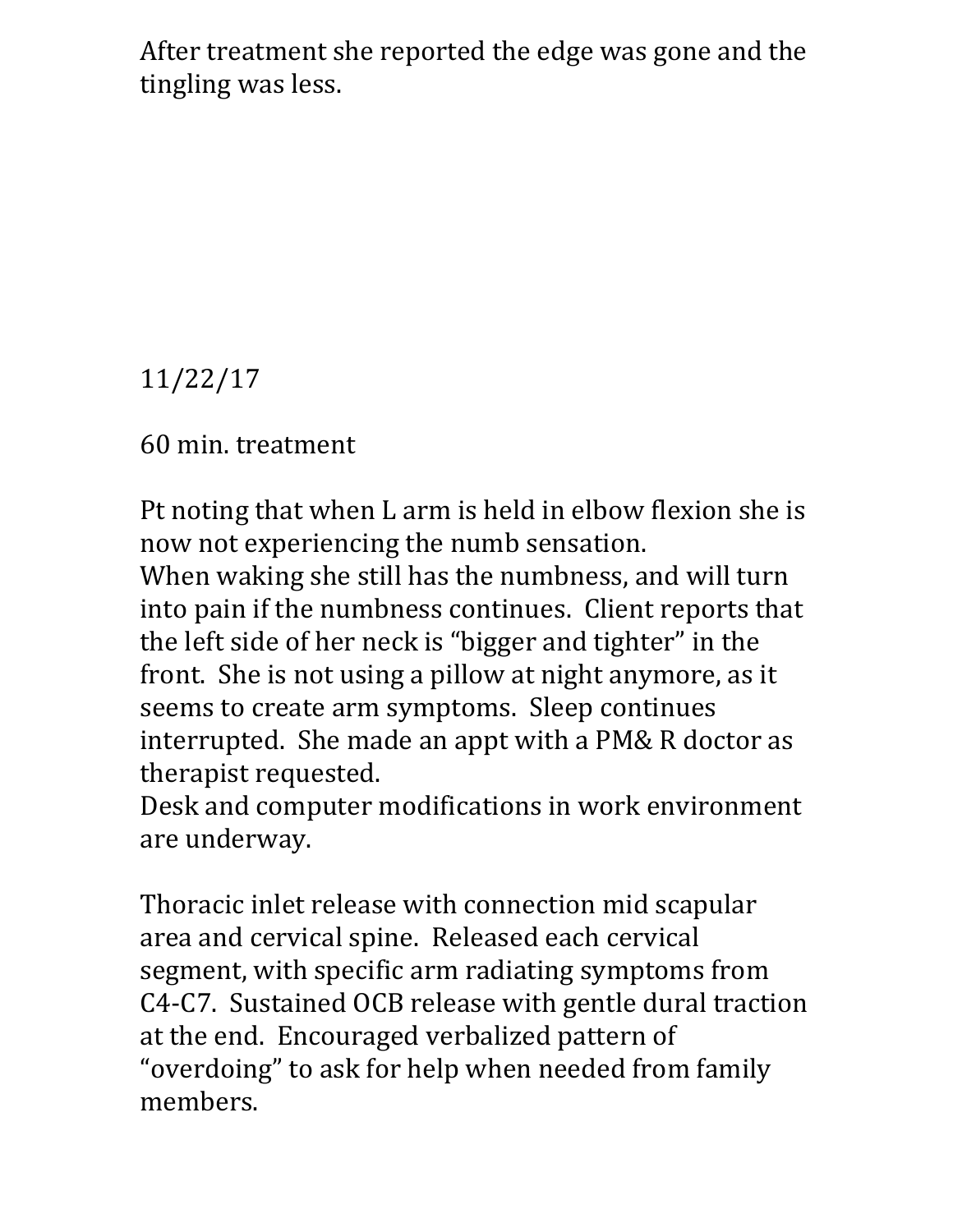After treatment she reported the edge was gone and the tingling was less.

11/22/17

60 min. treatment

Pt noting that when L arm is held in elbow flexion she is now not experiencing the numb sensation.

When waking she still has the numbness, and will turn into pain if the numbness continues. Client reports that the left side of her neck is "bigger and tighter" in the front. She is not using a pillow at night anymore, as it seems to create arm symptoms. Sleep continues interrupted. She made an appt with a PM& R doctor as therapist requested.

Desk and computer modifications in work environment are underway.

Thoracic inlet release with connection mid scapular area and cervical spine. Released each cervical segment, with specific arm radiating symptoms from C4-C7. Sustained OCB release with gentle dural traction at the end. Encouraged verbalized pattern of "overdoing" to ask for help when needed from family members.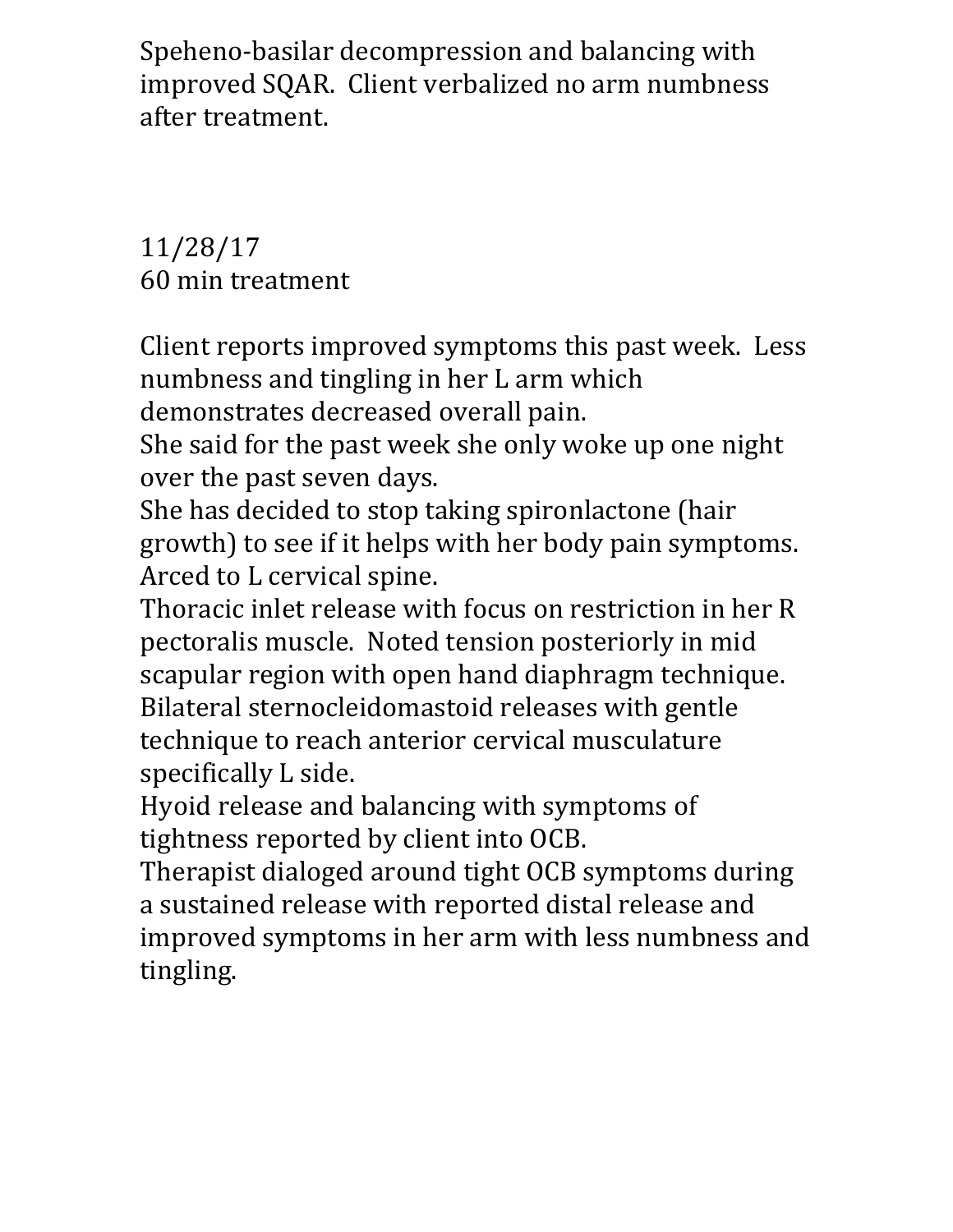Speheno-basilar decompression and balancing with improved SQAR. Client verbalized no arm numbness after treatment.

11/28/17 60 min treatment

Client reports improved symptoms this past week. Less numbness and tingling in her L arm which

demonstrates decreased overall pain.

She said for the past week she only woke up one night over the past seven days.

She has decided to stop taking spironlactone (hair growth) to see if it helps with her body pain symptoms. Arced to L cervical spine.

Thoracic inlet release with focus on restriction in her R pectoralis muscle. Noted tension posteriorly in mid scapular region with open hand diaphragm technique. Bilateral sternocleidomastoid releases with gentle technique to reach anterior cervical musculature specifically L side.

Hyoid release and balancing with symptoms of tightness reported by client into OCB.

Therapist dialoged around tight OCB symptoms during a sustained release with reported distal release and improved symptoms in her arm with less numbness and tingling.